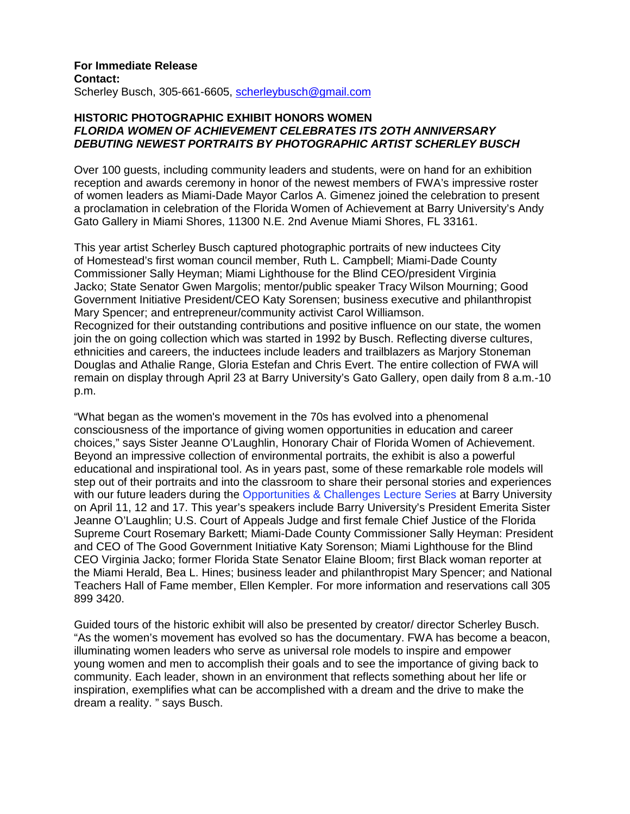## **For Immediate Release Contact:**  Scherley Busch, 305-661-6605, scherleybusch@gmail.com

# **HISTORIC PHOTOGRAPHIC EXHIBIT HONORS WOMEN FLORIDA WOMEN OF ACHIEVEMENT CELEBRATES ITS 2OTH ANNIVERSARY DEBUTING NEWEST PORTRAITS BY PHOTOGRAPHIC ARTIST SCHERLEY BUSCH**

Over 100 guests, including community leaders and students, were on hand for an exhibition reception and awards ceremony in honor of the newest members of FWA's impressive roster of women leaders as Miami-Dade Mayor Carlos A. Gimenez joined the celebration to present a proclamation in celebration of the Florida Women of Achievement at Barry University's Andy Gato Gallery in Miami Shores, 11300 N.E. 2nd Avenue Miami Shores, FL 33161.

This year artist Scherley Busch captured photographic portraits of new inductees City of Homestead's first woman council member, Ruth L. Campbell; Miami-Dade County Commissioner Sally Heyman; Miami Lighthouse for the Blind CEO/president Virginia Jacko; State Senator Gwen Margolis; mentor/public speaker Tracy Wilson Mourning; Good Government Initiative President/CEO Katy Sorensen; business executive and philanthropist Mary Spencer; and entrepreneur/community activist Carol Williamson. Recognized for their outstanding contributions and positive influence on our state, the women join the on going collection which was started in 1992 by Busch. Reflecting diverse cultures, ethnicities and careers, the inductees include leaders and trailblazers as Marjory Stoneman Douglas and Athalie Range, Gloria Estefan and Chris Evert. The entire collection of FWA will remain on display through April 23 at Barry University's Gato Gallery, open daily from 8 a.m.-10 p.m.

"What began as the women's movement in the 70s has evolved into a phenomenal consciousness of the importance of giving women opportunities in education and career choices," says Sister Jeanne O'Laughlin, Honorary Chair of Florida Women of Achievement. Beyond an impressive collection of environmental portraits, the exhibit is also a powerful educational and inspirational tool. As in years past, some of these remarkable role models will step out of their portraits and into the classroom to share their personal stories and experiences with our future leaders during the Opportunities & Challenges Lecture Series at Barry University on April 11, 12 and 17. This year's speakers include Barry University's President Emerita Sister Jeanne O'Laughlin; U.S. Court of Appeals Judge and first female Chief Justice of the Florida Supreme Court Rosemary Barkett; Miami-Dade County Commissioner Sally Heyman: President and CEO of The Good Government Initiative Katy Sorenson; Miami Lighthouse for the Blind CEO Virginia Jacko; former Florida State Senator Elaine Bloom; first Black woman reporter at the Miami Herald, Bea L. Hines; business leader and philanthropist Mary Spencer; and National Teachers Hall of Fame member, Ellen Kempler. For more information and reservations call 305 899 3420.

Guided tours of the historic exhibit will also be presented by creator/ director Scherley Busch. "As the women's movement has evolved so has the documentary. FWA has become a beacon, illuminating women leaders who serve as universal role models to inspire and empower young women and men to accomplish their goals and to see the importance of giving back to community. Each leader, shown in an environment that reflects something about her life or inspiration, exemplifies what can be accomplished with a dream and the drive to make the dream a reality. " says Busch.